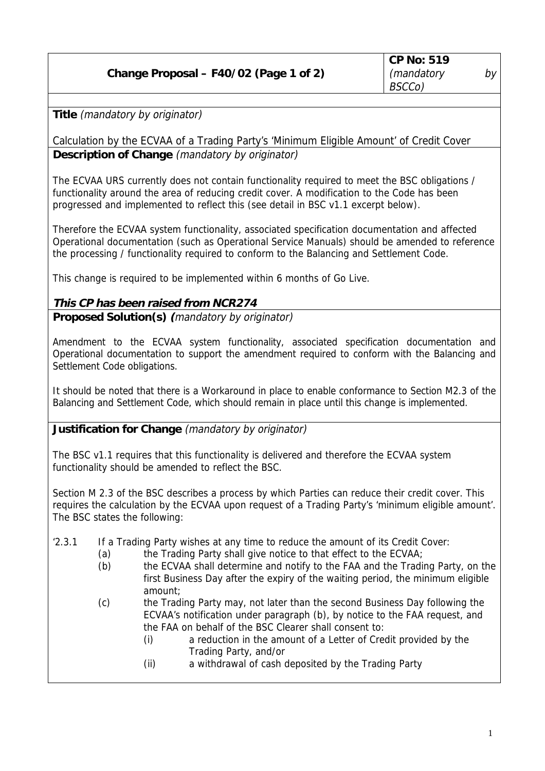## **Change Proposal – F40/02 (Page 1 of 2)**

**Title** (mandatory by originator)

Calculation by the ECVAA of a Trading Party's 'Minimum Eligible Amount' of Credit Cover **Description of Change** (mandatory by originator)

The ECVAA URS currently does not contain functionality required to meet the BSC obligations / functionality around the area of reducing credit cover. A modification to the Code has been progressed and implemented to reflect this (see detail in BSC v1.1 excerpt below).

Therefore the ECVAA system functionality, associated specification documentation and affected Operational documentation (such as Operational Service Manuals) should be amended to reference the processing / functionality required to conform to the Balancing and Settlement Code.

This change is required to be implemented within 6 months of Go Live.

## **This CP has been raised from NCR274**

**Proposed Solution(s) (**mandatory by originator)

Amendment to the ECVAA system functionality, associated specification documentation and Operational documentation to support the amendment required to conform with the Balancing and Settlement Code obligations.

It should be noted that there is a Workaround in place to enable conformance to Section M2.3 of the Balancing and Settlement Code, which should remain in place until this change is implemented.

## **Justification for Change** (mandatory by originator)

The BSC v1.1 requires that this functionality is delivered and therefore the ECVAA system functionality should be amended to reflect the BSC.

Section M 2.3 of the BSC describes a process by which Parties can reduce their credit cover. This requires the calculation by the ECVAA upon request of a Trading Party's 'minimum eligible amount'. The BSC states the following:

- '2.3.1 If a Trading Party wishes at any time to reduce the amount of its Credit Cover:
	- (a) the Trading Party shall give notice to that effect to the ECVAA;
	- (b) the ECVAA shall determine and notify to the FAA and the Trading Party, on the first Business Day after the expiry of the waiting period, the minimum eligible amount;
	- (c) the Trading Party may, not later than the second Business Day following the ECVAA's notification under paragraph (b), by notice to the FAA request, and the FAA on behalf of the BSC Clearer shall consent to:
		- (i) a reduction in the amount of a Letter of Credit provided by the Trading Party, and/or
		- (ii) a withdrawal of cash deposited by the Trading Party